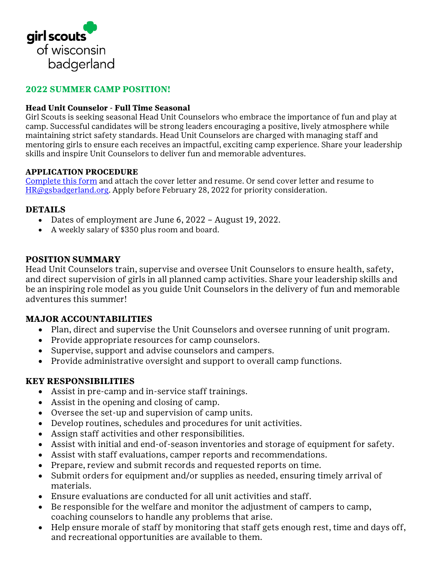

## **2022 SUMMER CAMP POSITION!**

#### **Head Unit Counselor - Full Time Seasonal**

Girl Scouts is seeking seasonal Head Unit Counselors who embrace the importance of fun and play at camp. Successful candidates will be strong leaders encouraging a positive, lively atmosphere while maintaining strict safety standards. Head Unit Counselors are charged with managing staff and mentoring girls to ensure each receives an impactful, exciting camp experience. Share your leadership skills and inspire Unit Counselors to deliver fun and memorable adventures.

#### **APPLICATION PROCEDURE**

[Complete this form](https://girlscoutsbadgerland.wufoo.com/forms/st4083512micfh/) and attach the cover letter and resume. Or send cover letter and resume to [HR@gsbadgerland.org.](mailto:HR@gsbadgerland.org) Apply before February 28, 2022 for priority consideration.

#### **DETAILS**

- Dates of employment are June 6, 2022 August 19, 2022.
- A weekly salary of \$350 plus room and board.

### **POSITION SUMMARY**

Head Unit Counselors train, supervise and oversee Unit Counselors to ensure health, safety, and direct supervision of girls in all planned camp activities. Share your leadership skills and be an inspiring role model as you guide Unit Counselors in the delivery of fun and memorable adventures this summer!

### **MAJOR ACCOUNTABILITIES**

- Plan, direct and supervise the Unit Counselors and oversee running of unit program.
- Provide appropriate resources for camp counselors.
- Supervise, support and advise counselors and campers.
- Provide administrative oversight and support to overall camp functions.

### **KEY RESPONSIBILITIES**

- Assist in pre-camp and in-service staff trainings.
- Assist in the opening and closing of camp.
- Oversee the set-up and supervision of camp units.
- Develop routines, schedules and procedures for unit activities.
- Assign staff activities and other responsibilities.
- Assist with initial and end-of-season inventories and storage of equipment for safety.
- Assist with staff evaluations, camper reports and recommendations.
- Prepare, review and submit records and requested reports on time.
- Submit orders for equipment and/or supplies as needed, ensuring timely arrival of materials.
- Ensure evaluations are conducted for all unit activities and staff.
- Be responsible for the welfare and monitor the adjustment of campers to camp, coaching counselors to handle any problems that arise.
- Help ensure morale of staff by monitoring that staff gets enough rest, time and days off, and recreational opportunities are available to them.